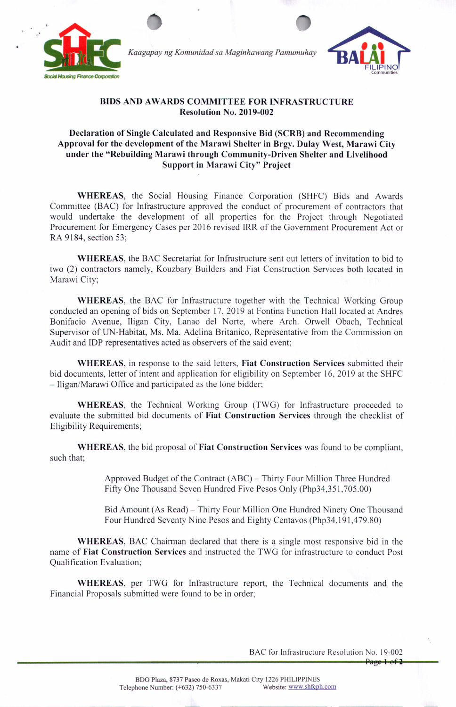

+



## **BIDS** AND AWARDS COMMITTEE FOR INFRASTRUCTURE **Resolution No. 2019-002**

## **Declaration of Single Calculated and Responsive Bid (SCRB) and Recommending Approval for the development of the Marawi Shelter in Brgy. Dulay West, Marawi City under the "Rebuilding Marawi through Community-Driven Shelter and Livelihood Support in Marawi City" Project**

**WHEREAS,** the Social Housing Finance Corporation (SHFC) Bids and Awards Committee (BAC) for Infrastructure approved the conduct of procurement of contractors that would undertake the development of all properties for the Project through Negotiated Procurement for Emergency Cases per 2016 revised IRR of the Government Procurement Act or RA 9184, section 53;

**WHEREAS,** the BAC Secretariat for Infrastructure sent out letters of invitation to bid to two (2) contractors namely, Kouzbary Builders and Fiat Construction Services both located in Marawi City;

**WHEREAS,** the BAC for Infrastructure together with the Technical Working Group conducted an opening of bids on September 17, 2019 at Fontina Function Hall located at Andres Bonifacio Avenue, Iligan City, Lanao del Norte, where Arch. Orwell Obach, Technical Supervisor of UN-Habitat, Ms. Ma. Adelina Britanico, Representative from the Commission on Audit and **IDP** representatives acted as observers of the said event;

**WHEREAS,** in response to the said letters, **Fiat Construction Services** submitted their bid documents, letter of intent and application for eligibility on September 16, 2019 at the SHFC  $-$  Iligan/Marawi Office and participated as the lone bidder;

**WHEREAS,** the Technical Working Group (TWG) for Infrastructure proceeded to evaluate the submitted bid documents of **Fiat Construction Services** through the checklist of Eligibility Requirements;

**WHEREAS,** the bid proposal of **Fiat Construction Services** was found to be compliant, such that;

> Approved Budget of the Contract (ABC) – Thirty Four Million Three Hundred Fifty One Thousand Seven Hundred Five Pesos Only (Php34,35I ,705.00)

Bid Amount (As Read) - Thirty Four Million One Hundred Ninety One Thousand Four Hundred Seventy Nine Pesos and Eighty Centavos (Php34,19l,479.80)

**WHEREAS,** BAC Chairman declared that there is a single most responsive bid in the name of **Fiat Construction Services** and instructed the TWG for infrastructure to conduct Post Qualification Evaluation;

**WHEREAS,** per TWG for Infrastructure report, the Technical documents and the Financial Proposals submitted were found to be in order;

BAC for Infrastructure Resolution No. 19-002

 $Page-1 of 2$